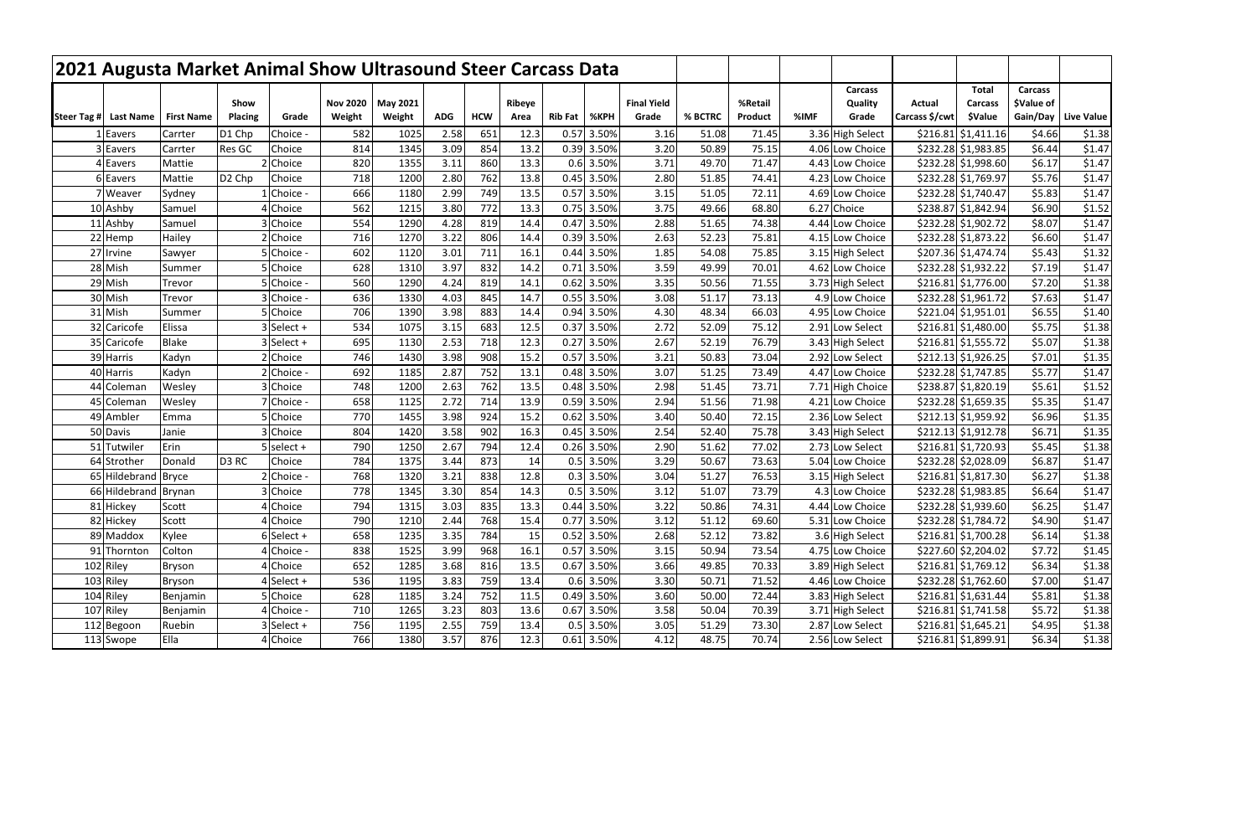| 2021 Augusta Market Animal Show Ultrasound Steer Carcass Data |                   |                    |                               |                 |                 |              |            |              |                |                     |                    |                |                |      |                                     |                |                                            |                              |                   |
|---------------------------------------------------------------|-------------------|--------------------|-------------------------------|-----------------|-----------------|--------------|------------|--------------|----------------|---------------------|--------------------|----------------|----------------|------|-------------------------------------|----------------|--------------------------------------------|------------------------------|-------------------|
|                                                               |                   | Show               |                               | <b>Nov 2020</b> | <b>May 2021</b> |              |            | Ribeye       |                |                     | <b>Final Yield</b> |                | %Retail        |      | Carcass<br>Quality                  | Actual         | <b>Total</b><br><b>Carcass</b>             | <b>Carcass</b><br>\$Value of |                   |
| Steer Tag # Last Name                                         | <b>First Name</b> | <b>Placing</b>     | Grade                         | Weight          | Weight          | <b>ADG</b>   | <b>HCW</b> | Area         | <b>Rib Fat</b> | %KPH                | Grade              | % BCTRC        | Product        | %IMF | Grade                               | Carcass \$/cwt | <b><i>SValue</i></b>                       | Gain/Day                     | <b>Live Value</b> |
| Eavers                                                        | Carrter           | D1 Chp             | Choice                        | 582             | 1025            | 2.58         | 651        | 12.3         | 0.57           | 3.50%               | 3.16               | 51.08          | 71.45          |      | 3.36 High Select                    |                | $$216.81$ $$1,411.16$                      | \$4.66                       | \$1.38            |
| Eavers                                                        | Carrter           | Res GC             | Choice                        | 814             | 1345            | 3.09         | 854        | 13.2         | 0.39           | 3.50%               | 3.20               | 50.89          | 75.15          |      | 4.06 Low Choice                     |                | \$232.28 \$1,983.85                        | \$6.44                       | \$1.47            |
| Eavers                                                        | Mattie            |                    | 2 Choice                      | 820             | 1355            | 3.11         | 860        | 13.3         |                | $0.6$ 3.50%         | 3.71               | 49.70          | 71.47          |      | 4.43 Low Choice                     |                | \$232.28 \$1,998.60                        | \$6.17                       | \$1.47            |
| Eavers                                                        | Mattie            | D <sub>2</sub> Chp | Choice                        | 718             | 1200            | 2.80         | 762        | 13.8         | 0.45           | 3.50%               | 2.80               | 51.85          | 74.41          |      | 4.23 Low Choice                     |                | \$232.28 \$1,769.97                        | \$5.76                       | \$1.47            |
| 7   Weaver                                                    | Sydney            |                    | Choice                        | 666             | 1180            | 2.99         | 749        | 13.5         | 0.57           | 3.50%               | 3.15               | 51.05          | 72.11          |      | 4.69 Low Choice                     |                | \$232.28 \$1,740.47                        | \$5.83                       | \$1.47            |
| 10 Ashby                                                      | Samuel            |                    | 4 Choice                      | 562             | 1215            | 3.80         | 772        | 13.3         | 0.47           | $0.75$ 3.50%        | 3.75               | 49.66          | 68.80          |      | 6.27 Choice                         |                | \$238.87 \$1,842.94                        | \$6.90                       | \$1.52            |
| 11 Ashby                                                      | Samuel            |                    | 3 Choice                      | 554<br>716      | 1290<br>1270    | 4.28<br>3.22 | 819        | 14.4         |                | 3.50%               | 2.88<br>2.63       | 51.65<br>52.23 | 74.38          |      | 4.44 Low Choice                     |                | \$232.28 \$1,902.72                        | \$8.07                       | \$1.47            |
| 22 Hemp<br>27 Irvine                                          | Hailey            |                    | 2IChoice<br>5 <b>Choice</b> - | 602             | 1120            | 3.01         | 806<br>711 | 14.4<br>16.1 | 0.44           | 0.39 3.50%<br>3.50% | 1.85               | 54.08          | 75.81<br>75.85 |      | 4.15 Low Choice<br>3.15 High Select |                | \$232.28 \$1,873.22<br>\$207.36 \$1,474.74 | \$6.60<br>\$5.43             | \$1.47<br>\$1.32  |
| 28 Mish                                                       | Sawyer<br>Summer  |                    | <b>Choice</b>                 | 628             | 1310            | 3.97         | 832        | 14.2         | 0.71           | 3.50%               | 3.59               | 49.99          | 70.01          |      | 4.62 Low Choice                     |                | \$232.28 \$1,932.22                        | \$7.19                       | \$1.47            |
| 29 Mish                                                       | Trevor            |                    | 5 Choice                      | 560             | 1290            | 4.24         | 819        | 14.1         | 0.62           | 3.50%               | 3.35               | 50.56          | 71.55          |      | 3.73 High Select                    |                | $$216.81$ $$1,776.00$                      | \$7.20                       | \$1.38            |
| 30 Mish                                                       | Trevor            |                    | 3 Choice                      | 636             | 1330            | 4.03         | 845        | 14.7         |                | 0.55 3.50%          | 3.08               | 51.17          | 73.13          |      | 4.9 Low Choice                      |                | \$232.28 \$1,961.72                        | \$7.63                       | \$1.47            |
| 31 Mish                                                       | Summer            |                    | 5 Choice                      | 706             | 1390            | 3.98         | 883        | 14.4         | 0.94           | 3.50%               | 4.30               | 48.34          | 66.03          |      | 4.95 Low Choice                     |                | \$221.04 \$1,951.01                        | \$6.55                       | \$1.40            |
| 32 Caricofe                                                   | Elissa            |                    | Select +                      | 534             | 1075            | 3.15         | 683        | 12.5         | 0.37           | 3.50%               | 2.72               | 52.09          | 75.12          |      | 2.91 Low Select                     |                | $$216.81$ $$1,480.00$                      | \$5.75                       | \$1.38            |
| 35 Caricofe                                                   | <b>Blake</b>      |                    | 3 Select +                    | 695             | 1130            | 2.53         | 718        | 12.3         | 0.27           | 3.50%               | 2.67               | 52.19          | 76.79          |      | 3.43 High Select                    |                | $$216.81$ $$1,555.72$                      | \$5.07                       | \$1.38            |
| 39 Harris                                                     | Kadyn             |                    | 2 Choice                      | 746             | 1430            | 3.98         | 908        | 15.2         | 0.57           | 3.50%               | 3.21               | 50.83          | 73.04          |      | 2.92 Low Select                     |                | $$212.13$ $$1,926.25$                      | \$7.01                       | \$1.35            |
| 40 Harris                                                     | Kadyn             |                    | 2 Choice                      | 692             | 1185            | 2.87         | 752        | 13.1         | 0.48           | 3.50%               | 3.07               | 51.25          | 73.49          |      | 4.47 Low Choice                     |                | \$232.28 \$1,747.85                        | \$5.77                       | \$1.47            |
| 44 Coleman                                                    | Wesley            |                    | 3 Choice                      | 748             | 1200            | 2.63         | 762        | 13.5         | 0.48           | 3.50%               | 2.98               | 51.45          | 73.71          |      | 7.71 High Choice                    |                | \$238.87 \$1,820.19                        | \$5.61                       | \$1.52            |
| 45 Coleman                                                    | Wesley            |                    | 7 Choice                      | 658             | 1125            | 2.72         | 714        | 13.9         |                | 0.59 3.50%          | 2.94               | 51.56          | 71.98          |      | 4.21 Low Choice                     |                | \$232.28 \$1,659.35                        | \$5.35                       | \$1.47            |
| 49 Ambler                                                     | Emma              |                    | 5 I Choice                    | 770             | 1455            | 3.98         | 924        | 15.2         | 0.62           | 3.50%               | 3.40               | 50.40          | 72.15          |      | 2.36 Low Select                     |                | $$212.13$ $$1,959.92$                      | \$6.96                       | \$1.35            |
| 50 Davis                                                      | Janie             |                    | 3 I Choice                    | 804             | 1420            | 3.58         | 902        | 16.3         | 0.45           | 3.50%               | 2.54               | 52.40          | 75.78          |      | 3.43 High Select                    |                | $$212.13$ $$1,912.78$                      | \$6.71                       | \$1.35            |
| 51 Tutwiler                                                   | Erin              |                    | select +                      | 790             | 1250            | 2.67         | 794        | 12.4         | 0.26           | 3.50%               | 2.90               | 51.62          | 77.02          |      | 2.73 Low Select                     | \$216.81       | \$1,720.93                                 | \$5.45                       | \$1.38            |
| 64 Strother                                                   | Donald            | D <sub>3</sub> RC  | Choice                        | 784             | 1375            | 3.44         | 873        | 14           | 0.5            | 3.50%               | 3.29               | 50.67          | 73.63          |      | 5.04 Low Choice                     |                | \$232.28 \$2,028.09                        | \$6.87                       | \$1.47            |
| 65 Hildebrand                                                 | <b>Bryce</b>      |                    | 2 Choice                      | 768             | 1320            | 3.21         | 838        | 12.8         |                | $0.3$ 3.50%         | 3.04               | 51.27          | 76.53          |      | 3.15 High Select                    |                | $$216.81$ $$1,817.30$                      | \$6.27                       | \$1.38            |
| 66 Hildebrand Brynan                                          |                   |                    | 3 Choice                      | 778             | 1345            | 3.30         | 854        | 14.3         |                | $0.5$ 3.50%         | 3.12               | 51.07          | 73.79          |      | 4.3 Low Choice                      |                | \$232.28 \$1,983.85                        | \$6.64                       | \$1.47            |
| 81 Hickey                                                     | Scott             |                    | 4 Choice                      | 794             | 1315            | 3.03         | 835        | 13.3         |                | 0.44 3.50%          | 3.22               | 50.86          | 74.31          |      | 4.44 Low Choice                     |                | \$232.28 \$1,939.60                        | \$6.25                       | \$1.47            |
| 82 Hickey                                                     | Scott             |                    | 4 Choice                      | 790             | 1210            | 2.44         | 768        | 15.4         |                | 0.77 3.50%          | 3.12               | 51.12          | 69.60          |      | 5.31 Low Choice                     |                | \$232.28 \$1,784.72                        | \$4.90                       | \$1.47            |
| 89 Maddox                                                     | Kylee             |                    | $6$ Select +                  | 658             | 1235            | 3.35         | 784        | 15           |                | $0.52$ 3.50%        | 2.68               | 52.12          | 73.82          |      | 3.6 High Select                     |                | \$216.81 \$1,700.28                        | \$6.14                       | \$1.38            |
| 91 Thornton                                                   | Colton            |                    | 4 Choice -                    | 838             | 1525            | 3.99         | 968        | 16.1         |                | 0.57 3.50%          | 3.15               | 50.94          | 73.54          |      | 4.75 Low Choice                     |                | \$227.60 \$2,204.02                        | \$7.72                       | \$1.45            |
| 102 Riley                                                     | <b>Bryson</b>     |                    | 4 Choice                      | 652             | 1285            | 3.68         | 816        | 13.5         |                | 0.67 3.50%          | 3.66               | 49.85          | 70.33          |      | 3.89 High Select                    |                | \$216.81 \$1,769.12                        | \$6.34                       | \$1.38            |
| 103 Riley                                                     | <b>Bryson</b>     |                    | 4 Select +                    | 536             | 1195            | 3.83         | 759        | 13.4         |                | $0.6$ 3.50%         | 3.30               | 50.71          | 71.52          |      | 4.46 Low Choice                     |                | \$232.28 \$1,762.60                        | \$7.00                       | \$1.47            |
| 104 Riley                                                     | Benjamin          |                    | 5 Choice                      | 628             | 1185            | 3.24         | 752        | 11.5         |                | 0.49 3.50%          | 3.60               | 50.00          | 72.44          |      | 3.83 High Select                    |                | \$216.81 \$1,631.44                        | \$5.81                       | \$1.38            |
| 107 Riley                                                     | Benjamin          |                    | 4 Choice -                    | 710             | 1265            | 3.23         | 803        | 13.6         |                | 0.67 3.50%          | 3.58               | 50.04          | 70.39          |      | 3.71 High Select                    |                | \$216.81 \$1,741.58                        | \$5.72                       | \$1.38            |
| 112 Begoon                                                    | Ruebin            |                    | $3$ Select +                  | 756             | 1195            | 2.55         | 759        | 13.4         |                | $0.5$ 3.50%         | 3.05               | 51.29          | 73.30          |      | 2.87 Low Select                     |                | $$216.81$ $$1,645.21$                      | \$4.95                       | \$1.38            |
| 113 Swope                                                     | Ella              |                    | 4 Choice                      | 766             | 1380            | 3.57         | 876        | 12.3         |                | $0.61$ 3.50%        | 4.12               | 48.75          | 70.74          |      | 2.56 Low Select                     |                | $$216.81$ $$1,899.91$                      | \$6.34                       | \$1.38            |